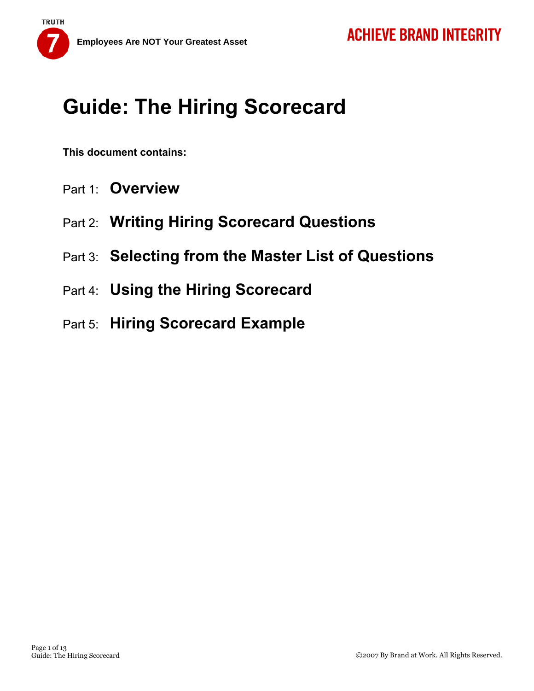

**This document contains:** 

- Part 1: **Overview**
- Part 2: **Writing Hiring Scorecard Questions**
- Part 3: **Selecting from the Master List of Questions**
- Part 4: **Using the Hiring Scorecard**
- Part 5: **Hiring Scorecard Example**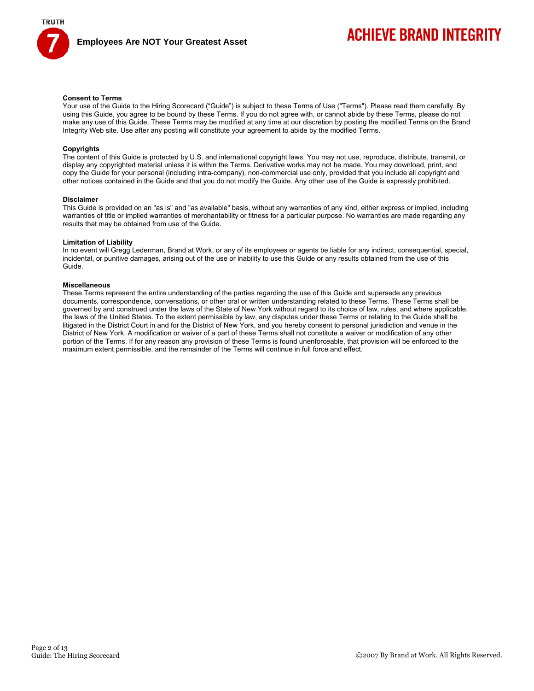

## **ACHIEVE BRAND INTEGRITY**

#### **Consent to Terms**

Your use of the Guide to the Hiring Scorecard ("Guide") is subject to these Terms of Use ("Terms"). Please read them carefully. By using this Guide, you agree to be bound by these Terms. If you do not agree with, or cannot abide by these Terms, please do not make any use of this Guide. These Terms may be modified at any time at our discretion by posting the modified Terms on the Brand Integrity Web site. Use after any posting will constitute your agreement to abide by the modified Terms.

#### **Copyrights**

The content of this Guide is protected by U.S. and international copyright laws. You may not use, reproduce, distribute, transmit, or display any copyrighted material unless it is within the Terms. Derivative works may not be made. You may download, print, and copy the Guide for your personal (including intra-company), non-commercial use only, provided that you include all copyright and other notices contained in the Guide and that you do not modify the Guide. Any other use of the Guide is expressly prohibited.

#### **Disclaimer**

This Guide is provided on an "as is" and "as available" basis, without any warranties of any kind, either express or implied, including warranties of title or implied warranties of merchantability or fitness for a particular purpose. No warranties are made regarding any results that may be obtained from use of the Guide.

#### **Limitation of Liability**

In no event will Gregg Lederman, Brand at Work, or any of its employees or agents be liable for any indirect, consequential, special, incidental, or punitive damages, arising out of the use or inability to use this Guide or any results obtained from the use of this Guide.

#### **Miscellaneous**

These Terms represent the entire understanding of the parties regarding the use of this Guide and supersede any previous documents, correspondence, conversations, or other oral or written understanding related to these Terms. These Terms shall be governed by and construed under the laws of the State of New York without regard to its choice of law, rules, and where applicable, the laws of the United States. To the extent permissible by law, any disputes under these Terms or relating to the Guide shall be litigated in the District Court in and for the District of New York, and you hereby consent to personal jurisdiction and venue in the District of New York. A modification or waiver of a part of these Terms shall not constitute a waiver or modification of any other portion of the Terms. If for any reason any provision of these Terms is found unenforceable, that provision will be enforced to the maximum extent permissible, and the remainder of the Terms will continue in full force and effect.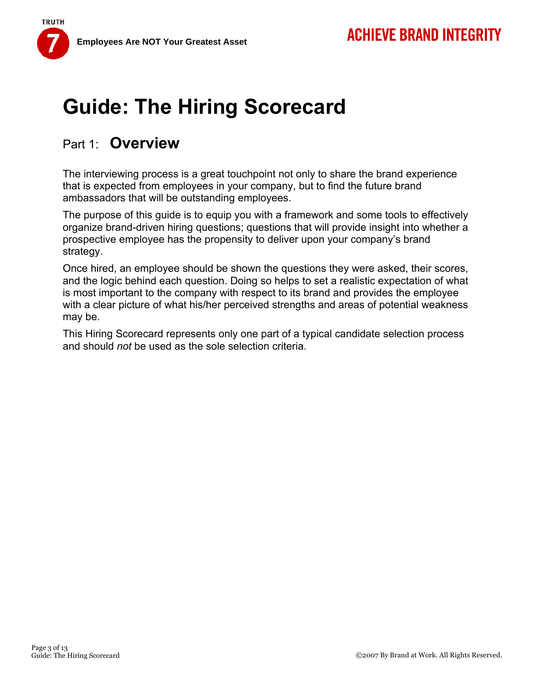**Employees Are NOT Your Greatest Asset** 

**TRUTH** 

# **Guide: The Hiring Scorecard**

## Part 1: **Overview**

The interviewing process is a great touchpoint not only to share the brand experience that is expected from employees in your company, but to find the future brand ambassadors that will be outstanding employees.

The purpose of this guide is to equip you with a framework and some tools to effectively organize brand-driven hiring questions; questions that will provide insight into whether a prospective employee has the propensity to deliver upon your company's brand strategy.

Once hired, an employee should be shown the questions they were asked, their scores, and the logic behind each question. Doing so helps to set a realistic expectation of what is most important to the company with respect to its brand and provides the employee with a clear picture of what his/her perceived strengths and areas of potential weakness may be.

This Hiring Scorecard represents only one part of a typical candidate selection process and should *not* be used as the sole selection criteria.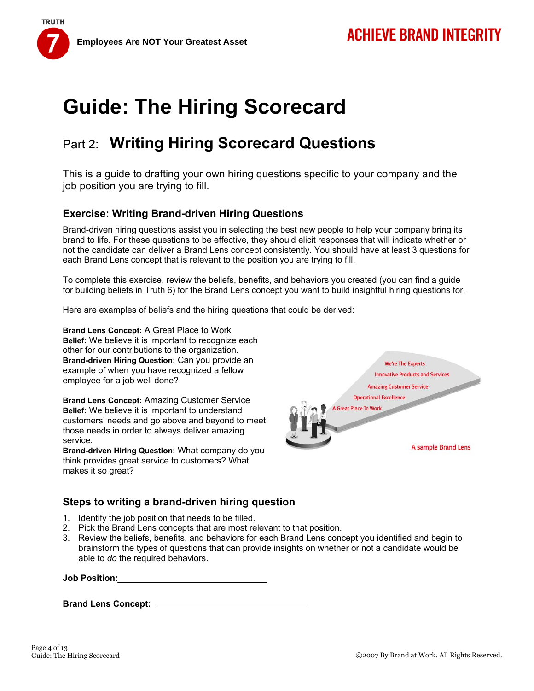**Employees Are NOT Your Greatest Asset** 

**TRUTH** 



## Part 2: **Writing Hiring Scorecard Questions**

This is a guide to drafting your own hiring questions specific to your company and the job position you are trying to fill.

### **Exercise: Writing Brand-driven Hiring Questions**

Brand-driven hiring questions assist you in selecting the best new people to help your company bring its brand to life. For these questions to be effective, they should elicit responses that will indicate whether or not the candidate can deliver a Brand Lens concept consistently. You should have at least 3 questions for each Brand Lens concept that is relevant to the position you are trying to fill.

To complete this exercise, review the beliefs, benefits, and behaviors you created (you can find a guide for building beliefs in Truth 6) for the Brand Lens concept you want to build insightful hiring questions for.

Here are examples of beliefs and the hiring questions that could be derived:

**Brand Lens Concept:** A Great Place to Work **Belief:** We believe it is important to recognize each other for our contributions to the organization. **Brand-driven Hiring Question:** Can you provide an example of when you have recognized a fellow employee for a job well done?

**Brand Lens Concept:** Amazing Customer Service **Belief:** We believe it is important to understand customers' needs and go above and beyond to meet those needs in order to always deliver amazing service.

**Brand-driven Hiring Question:** What company do you think provides great service to customers? What makes it so great?



#### **Steps to writing a brand-driven hiring question**

- 1. Identify the job position that needs to be filled.
- 2. Pick the Brand Lens concepts that are most relevant to that position.
- 3. Review the beliefs, benefits, and behaviors for each Brand Lens concept you identified and begin to brainstorm the types of questions that can provide insights on whether or not a candidate would be able to *do* the required behaviors.

**Brand Lens Concept:**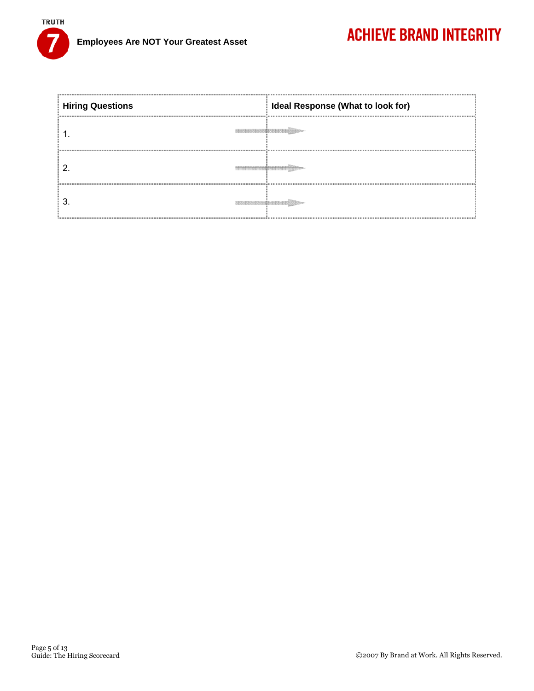

| <b>Hiring Questions</b>                                                                     | Ideal Response (What to look for) |
|---------------------------------------------------------------------------------------------|-----------------------------------|
| on sources and an an end sources and an end that sources and sources are an end of the COST |                                   |
|                                                                                             |                                   |
|                                                                                             |                                   |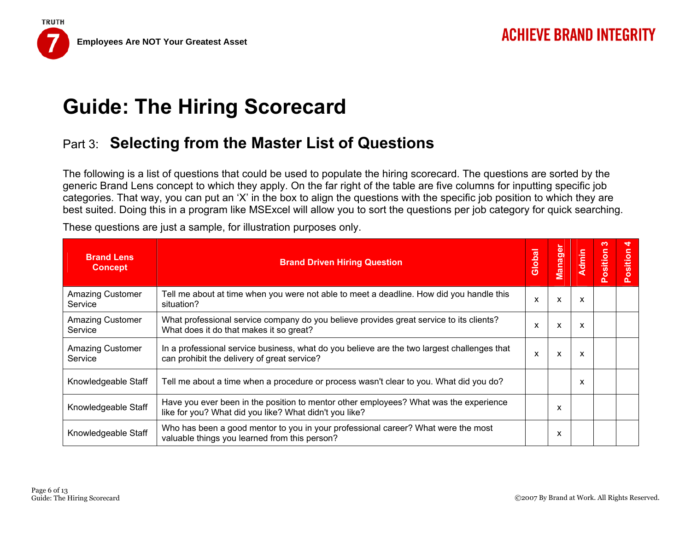## Part 3: **Selecting from the Master List of Questions**

The following is a list of questions that could be used to populate the hiring scorecard. The questions are sorted by the generic Brand Lens concept to which they apply. On the far right of the table are five columns for inputting specific job categories. That way, you can put an 'X' in the box to align the questions with the specific job position to which they are best suited. Doing this in a program like MSExcel will allow you to sort the questions per job category for quick searching.

| <b>Brand Lens</b><br><b>Concept</b> | <b>Brand Driven Hiring Question</b>                                                                                                             | Global | Manager                   | Admin | ∾<br>Position | ₹<br>Position |
|-------------------------------------|-------------------------------------------------------------------------------------------------------------------------------------------------|--------|---------------------------|-------|---------------|---------------|
| <b>Amazing Customer</b><br>Service  | Tell me about at time when you were not able to meet a deadline. How did you handle this<br>situation?                                          | X      | $\boldsymbol{\mathsf{x}}$ | X     |               |               |
| <b>Amazing Customer</b><br>Service  | What professional service company do you believe provides great service to its clients?<br>What does it do that makes it so great?              | X      | $\boldsymbol{\mathsf{x}}$ | X     |               |               |
| <b>Amazing Customer</b><br>Service  | In a professional service business, what do you believe are the two largest challenges that<br>can prohibit the delivery of great service?      | X      | X                         | X     |               |               |
| Knowledgeable Staff                 | Tell me about a time when a procedure or process wasn't clear to you. What did you do?                                                          |        |                           | x     |               |               |
| Knowledgeable Staff                 | Have you ever been in the position to mentor other employees? What was the experience<br>like for you? What did you like? What didn't you like? |        | x                         |       |               |               |
| Knowledgeable Staff                 | Who has been a good mentor to you in your professional career? What were the most<br>valuable things you learned from this person?              |        | x                         |       |               |               |

These questions are just a sample, for illustration purposes only.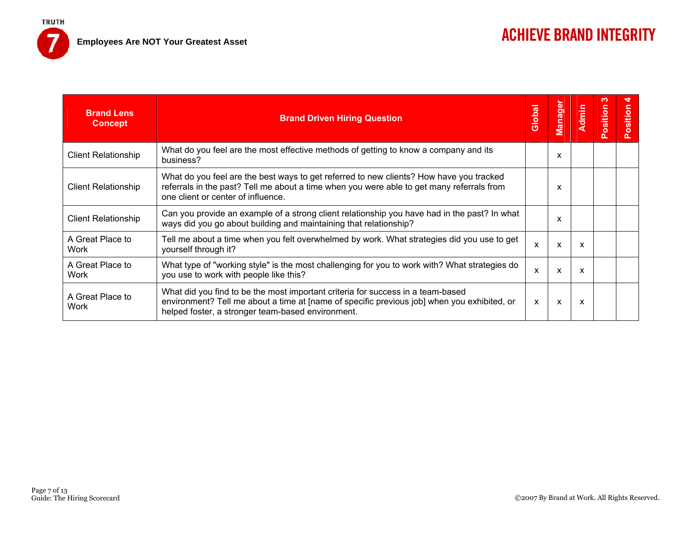7

| <b>Brand Lens</b><br><b>Concept</b> | <b>Brand Driven Hiring Question</b>                                                                                                                                                                                                 | Global                    | Manager | <b>Admin</b> | ∾<br>Position | sitio<br>$\circ$ |
|-------------------------------------|-------------------------------------------------------------------------------------------------------------------------------------------------------------------------------------------------------------------------------------|---------------------------|---------|--------------|---------------|------------------|
| <b>Client Relationship</b>          | What do you feel are the most effective methods of getting to know a company and its<br>business?                                                                                                                                   |                           | x       |              |               |                  |
| <b>Client Relationship</b>          | What do you feel are the best ways to get referred to new clients? How have you tracked<br>referrals in the past? Tell me about a time when you were able to get many referrals from<br>one client or center of influence.          |                           | x       |              |               |                  |
| <b>Client Relationship</b>          | Can you provide an example of a strong client relationship you have had in the past? In what<br>ways did you go about building and maintaining that relationship?                                                                   |                           | x       |              |               |                  |
| A Great Place to<br>Work            | Tell me about a time when you felt overwhelmed by work. What strategies did you use to get<br>yourself through it?                                                                                                                  | $\boldsymbol{\mathsf{x}}$ | X       | X            |               |                  |
| A Great Place to<br>Work            | What type of "working style" is the most challenging for you to work with? What strategies do<br>you use to work with people like this?                                                                                             | X                         | X       | X            |               |                  |
| A Great Place to<br>Work            | What did you find to be the most important criteria for success in a team-based<br>environment? Tell me about a time at [name of specific previous job] when you exhibited, or<br>helped foster, a stronger team-based environment. | X                         | X       | x            |               |                  |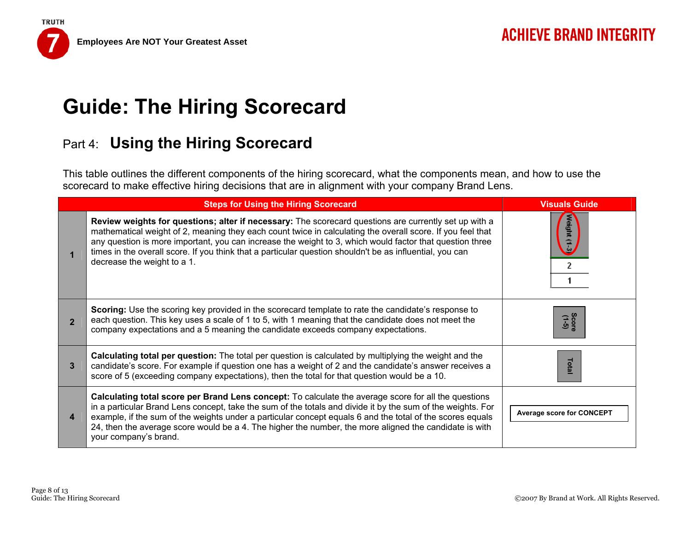## Part 4: **Using the Hiring Scorecard**

This table outlines the different components of the hiring scorecard, what the components mean, and how to use the scorecard to make effective hiring decisions that are in alignment with your company Brand Lens.

|                | <b>Steps for Using the Hiring Scorecard</b>                                                                                                                                                                                                                                                                                                                                                                                                                                | <b>Visuals Guide</b>             |
|----------------|----------------------------------------------------------------------------------------------------------------------------------------------------------------------------------------------------------------------------------------------------------------------------------------------------------------------------------------------------------------------------------------------------------------------------------------------------------------------------|----------------------------------|
|                | Review weights for questions; alter if necessary: The scorecard questions are currently set up with a<br>mathematical weight of 2, meaning they each count twice in calculating the overall score. If you feel that<br>any question is more important, you can increase the weight to 3, which would factor that question three<br>times in the overall score. If you think that a particular question shouldn't be as influential, you can<br>decrease the weight to a 1. | ight (1-3<br>2                   |
| $\overline{2}$ | Scoring: Use the scoring key provided in the scorecard template to rate the candidate's response to<br>each question. This key uses a scale of 1 to 5, with 1 meaning that the candidate does not meet the<br>company expectations and a 5 meaning the candidate exceeds company expectations.                                                                                                                                                                             | Score<br>(1-5)                   |
| 3              | Calculating total per question: The total per question is calculated by multiplying the weight and the<br>candidate's score. For example if question one has a weight of 2 and the candidate's answer receives a<br>score of 5 (exceeding company expectations), then the total for that question would be a 10.                                                                                                                                                           | Total                            |
| 4              | <b>Calculating total score per Brand Lens concept:</b> To calculate the average score for all the questions<br>in a particular Brand Lens concept, take the sum of the totals and divide it by the sum of the weights. For<br>example, if the sum of the weights under a particular concept equals 6 and the total of the scores equals<br>24, then the average score would be a 4. The higher the number, the more aligned the candidate is with<br>your company's brand. | <b>Average score for CONCEPT</b> |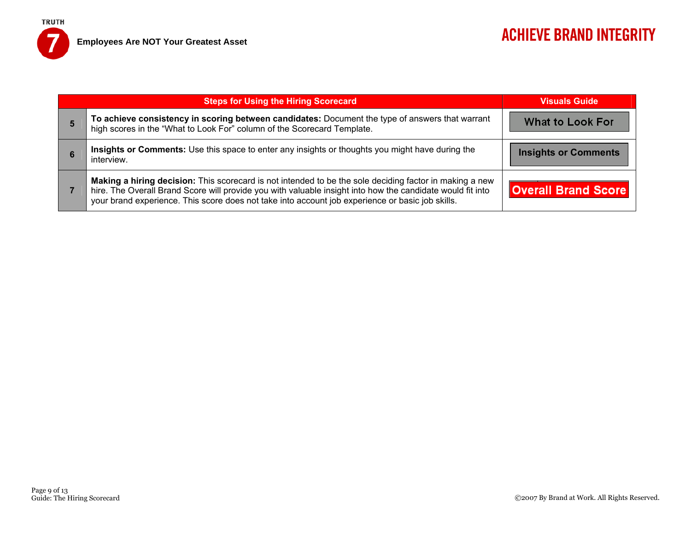**Employees Are NOT Your Greatest Asset** 

**TRUTH** 

7

| <b>Steps for Using the Hiring Scorecard</b>                                                                                                                                                                                                                                                                               | <b>Visuals Guide</b>        |
|---------------------------------------------------------------------------------------------------------------------------------------------------------------------------------------------------------------------------------------------------------------------------------------------------------------------------|-----------------------------|
| To achieve consistency in scoring between candidates: Document the type of answers that warrant<br>high scores in the "What to Look For" column of the Scorecard Template.                                                                                                                                                | <b>What to Look For</b>     |
| Insights or Comments: Use this space to enter any insights or thoughts you might have during the<br>interview.                                                                                                                                                                                                            | <b>Insights or Comments</b> |
| Making a hiring decision: This scorecard is not intended to be the sole deciding factor in making a new<br>hire. The Overall Brand Score will provide you with valuable insight into how the candidate would fit into<br>your brand experience. This score does not take into account job experience or basic job skills. | <b>Overall Brand Score</b>  |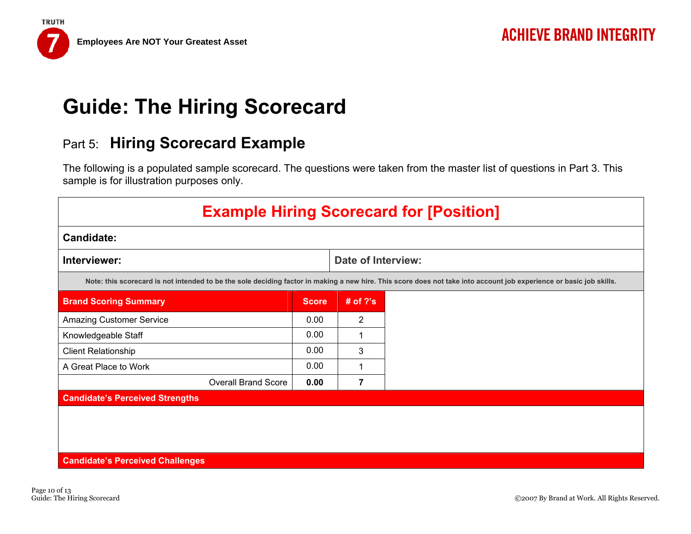## Part 5: **Hiring Scorecard Example**

The following is a populated sample scorecard. The questions were taken from the master list of questions in Part 3. This sample is for illustration purposes only.

| <b>Example Hiring Scorecard for [Position]</b> |              |                           |                                                                                                                                                                     |  |  |  |  |  |
|------------------------------------------------|--------------|---------------------------|---------------------------------------------------------------------------------------------------------------------------------------------------------------------|--|--|--|--|--|
| <b>Candidate:</b>                              |              |                           |                                                                                                                                                                     |  |  |  |  |  |
| Interviewer:                                   |              | <b>Date of Interview:</b> |                                                                                                                                                                     |  |  |  |  |  |
|                                                |              |                           | Note: this scorecard is not intended to be the sole deciding factor in making a new hire. This score does not take into account job experience or basic job skills. |  |  |  |  |  |
| <b>Brand Scoring Summary</b>                   | <b>Score</b> | # of $?$ 's               |                                                                                                                                                                     |  |  |  |  |  |
| <b>Amazing Customer Service</b>                | 0.00         | 2                         |                                                                                                                                                                     |  |  |  |  |  |
| Knowledgeable Staff                            | 0.00         | 1                         |                                                                                                                                                                     |  |  |  |  |  |
| <b>Client Relationship</b>                     | 0.00         | 3                         |                                                                                                                                                                     |  |  |  |  |  |
| A Great Place to Work                          | 0.00         | 1                         |                                                                                                                                                                     |  |  |  |  |  |
| <b>Overall Brand Score</b>                     | 0.00         | 7                         |                                                                                                                                                                     |  |  |  |  |  |
| <b>Candidate's Perceived Strengths</b>         |              |                           |                                                                                                                                                                     |  |  |  |  |  |
|                                                |              |                           |                                                                                                                                                                     |  |  |  |  |  |
|                                                |              |                           |                                                                                                                                                                     |  |  |  |  |  |
|                                                |              |                           |                                                                                                                                                                     |  |  |  |  |  |
| <b>Candidate's Perceived Challenges</b>        |              |                           |                                                                                                                                                                     |  |  |  |  |  |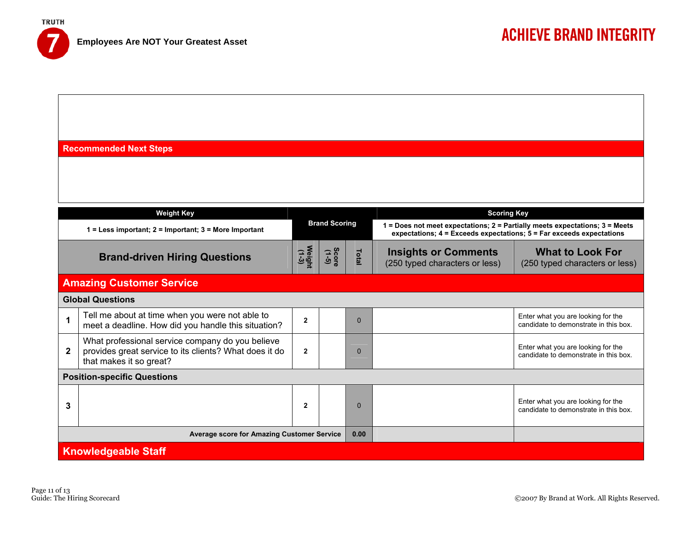**TRUTH** 

**Recommended Next Steps** 

|                                                   | <b>Weight Key</b>                                                                                                                     |                |                      |          | <b>Scoring Key</b>                                                                                                                                       |                                                                             |  |  |
|---------------------------------------------------|---------------------------------------------------------------------------------------------------------------------------------------|----------------|----------------------|----------|----------------------------------------------------------------------------------------------------------------------------------------------------------|-----------------------------------------------------------------------------|--|--|
|                                                   | $1 =$ Less important; $2 =$ Important; $3 =$ More Important                                                                           |                | <b>Brand Scoring</b> |          | 1 = Does not meet expectations; 2 = Partially meets expectations; 3 = Meets<br>expectations; $4 = Exceeds expectations$ ; $5 = Far exceeds expectations$ |                                                                             |  |  |
| <b>Brand-driven Hiring Questions</b>              |                                                                                                                                       |                | Score<br>(1-5)       | Total    | <b>Insights or Comments</b><br>(250 typed characters or less)                                                                                            | <b>What to Look For</b><br>(250 typed characters or less)                   |  |  |
|                                                   | <b>Amazing Customer Service</b>                                                                                                       |                |                      |          |                                                                                                                                                          |                                                                             |  |  |
|                                                   | <b>Global Questions</b>                                                                                                               |                |                      |          |                                                                                                                                                          |                                                                             |  |  |
|                                                   | Tell me about at time when you were not able to<br>meet a deadline. How did you handle this situation?                                | $\overline{2}$ |                      | $\Omega$ |                                                                                                                                                          | Enter what you are looking for the<br>candidate to demonstrate in this box. |  |  |
| $\mathbf{2}$                                      | What professional service company do you believe<br>provides great service to its clients? What does it do<br>that makes it so great? | $\mathbf{2}$   |                      | $\Omega$ |                                                                                                                                                          | Enter what you are looking for the<br>candidate to demonstrate in this box. |  |  |
|                                                   | <b>Position-specific Questions</b>                                                                                                    |                |                      |          |                                                                                                                                                          |                                                                             |  |  |
| 3                                                 |                                                                                                                                       | $\mathbf{2}$   |                      | $\Omega$ |                                                                                                                                                          | Enter what you are looking for the<br>candidate to demonstrate in this box. |  |  |
| <b>Average score for Amazing Customer Service</b> |                                                                                                                                       |                |                      |          |                                                                                                                                                          |                                                                             |  |  |
|                                                   | <b>Knowledgeable Staff</b>                                                                                                            |                |                      |          |                                                                                                                                                          |                                                                             |  |  |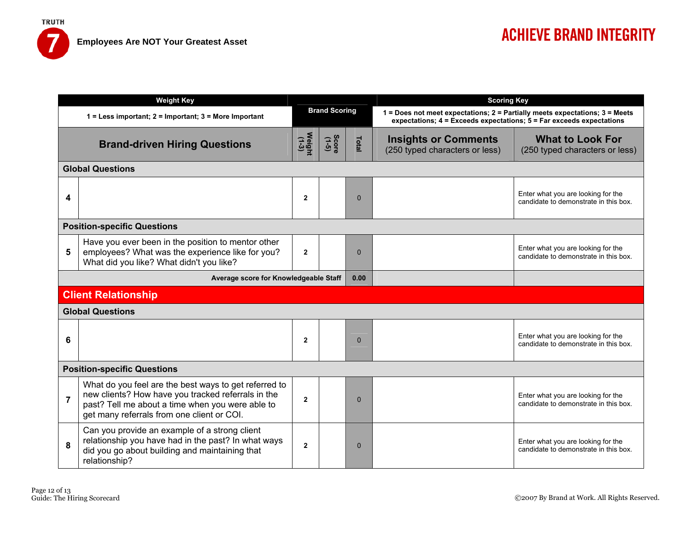|                | <b>Weight Key</b>                                                                                                                                                                                             |                      |                |              | <b>Scoring Key</b>                                                                                                                                       |                                                                             |  |  |
|----------------|---------------------------------------------------------------------------------------------------------------------------------------------------------------------------------------------------------------|----------------------|----------------|--------------|----------------------------------------------------------------------------------------------------------------------------------------------------------|-----------------------------------------------------------------------------|--|--|
|                | 1 = Less important; 2 = Important; 3 = More Important                                                                                                                                                         | <b>Brand Scoring</b> |                |              | 1 = Does not meet expectations; 2 = Partially meets expectations; 3 = Meets<br>expectations; $4 = Exceeds expectations$ ; $5 = Far exceeds expectations$ |                                                                             |  |  |
|                | <b>Brand-driven Hiring Questions</b>                                                                                                                                                                          | Weight<br>(1-3)      | Score<br>(1-5) | Total        | <b>What to Look For</b><br><b>Insights or Comments</b><br>(250 typed characters or less)<br>(250 typed characters or less)                               |                                                                             |  |  |
|                | <b>Global Questions</b>                                                                                                                                                                                       |                      |                |              |                                                                                                                                                          |                                                                             |  |  |
| 4              |                                                                                                                                                                                                               | $\overline{2}$       |                | $\Omega$     |                                                                                                                                                          | Enter what you are looking for the<br>candidate to demonstrate in this box. |  |  |
|                | <b>Position-specific Questions</b>                                                                                                                                                                            |                      |                |              |                                                                                                                                                          |                                                                             |  |  |
| 5              | Have you ever been in the position to mentor other<br>employees? What was the experience like for you?<br>What did you like? What didn't you like?                                                            | $\overline{2}$       |                | $\mathbf{0}$ |                                                                                                                                                          | Enter what you are looking for the<br>candidate to demonstrate in this box. |  |  |
|                | Average score for Knowledgeable Staff                                                                                                                                                                         |                      |                | 0.00         |                                                                                                                                                          |                                                                             |  |  |
|                | <b>Client Relationship</b>                                                                                                                                                                                    |                      |                |              |                                                                                                                                                          |                                                                             |  |  |
|                | <b>Global Questions</b>                                                                                                                                                                                       |                      |                |              |                                                                                                                                                          |                                                                             |  |  |
| 6              |                                                                                                                                                                                                               | $\mathbf{2}$         |                | $\Omega$     |                                                                                                                                                          | Enter what you are looking for the<br>candidate to demonstrate in this box. |  |  |
|                | <b>Position-specific Questions</b>                                                                                                                                                                            |                      |                |              |                                                                                                                                                          |                                                                             |  |  |
| $\overline{7}$ | What do you feel are the best ways to get referred to<br>new clients? How have you tracked referrals in the<br>past? Tell me about a time when you were able to<br>get many referrals from one client or COI. | $\overline{2}$       |                | $\Omega$     |                                                                                                                                                          | Enter what you are looking for the<br>candidate to demonstrate in this box. |  |  |
| 8              | Can you provide an example of a strong client<br>relationship you have had in the past? In what ways<br>did you go about building and maintaining that<br>relationship?                                       | $\overline{2}$       |                | $\Omega$     |                                                                                                                                                          | Enter what you are looking for the<br>candidate to demonstrate in this box. |  |  |